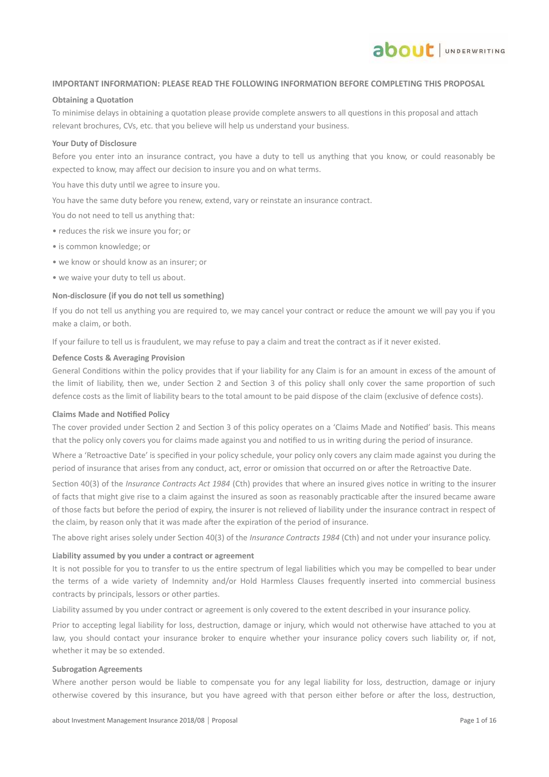### **IMPORTANT INFORMATION: PLEASE READ THE FOLLOWING INFORMATION BEFORE COMPLETING THIS PROPOSAL**

**ADOUL** JUNDERWRITING

#### **Obtaining a Quotation**

To minimise delays in obtaining a quotation please provide complete answers to all questions in this proposal and attach relevant brochures, CVs, etc. that you believe will help us understand your business.

#### **Your Duty of Disclosure**

Before you enter into an insurance contract, you have a duty to tell us anything that you know, or could reasonably be expected to know, may affect our decision to insure you and on what terms.

You have this duty until we agree to insure you.

You have the same duty before you renew, extend, vary or reinstate an insurance contract.

You do not need to tell us anything that:

- reduces the risk we insure you for; or
- is common knowledge; or
- we know or should know as an insurer; or
- we waive your duty to tell us about.

### **Non-disclosure (if you do not tell us something)**

If you do not tell us anything you are required to, we may cancel your contract or reduce the amount we will pay you if you make a claim, or both.

If your failure to tell us is fraudulent, we may refuse to pay a claim and treat the contract as if it never existed.

### **Defence Costs & Averaging Provision**

General Conditions within the policy provides that if your liability for any Claim is for an amount in excess of the amount of the limit of liability, then we, under Section 2 and Section 3 of this policy shall only cover the same proportion of such defence costs as the limit of liability bears to the total amount to be paid dispose of the claim (exclusive of defence costs).

### **Claims Made and Notified Policy**

The cover provided under Section 2 and Section 3 of this policy operates on a 'Claims Made and Notified' basis. This means that the policy only covers you for claims made against you and notified to us in writing during the period of insurance.

Where a 'Retroactive Date' is specified in your policy schedule, your policy only covers any claim made against you during the period of insurance that arises from any conduct, act, error or omission that occurred on or after the Retroactive Date.

Section 40(3) of the *Insurance Contracts Act 1984* (Cth) provides that where an insured gives notice in writing to the insurer of facts that might give rise to a claim against the insured as soon as reasonably practicable after the insured became aware of those facts but before the period of expiry, the insurer is not relieved of liability under the insurance contract in respect of the claim, by reason only that it was made after the expiration of the period of insurance.

The above right arises solely under Section 40(3) of the *Insurance Contracts 1984* (Cth) and not under your insurance policy.

### **Liability assumed by you under a contract or agreement**

It is not possible for you to transfer to us the entire spectrum of legal liabilities which you may be compelled to bear under the terms of a wide variety of Indemnity and/or Hold Harmless Clauses frequently inserted into commercial business contracts by principals, lessors or other parties.

Liability assumed by you under contract or agreement is only covered to the extent described in your insurance policy.

Prior to accepting legal liability for loss, destruction, damage or injury, which would not otherwise have attached to you at law, you should contact your insurance broker to enquire whether your insurance policy covers such liability or, if not, whether it may be so extended.

#### **Subrogation Agreements**

Where another person would be liable to compensate you for any legal liability for loss, destruction, damage or injury otherwise covered by this insurance, but you have agreed with that person either before or after the loss, destruction,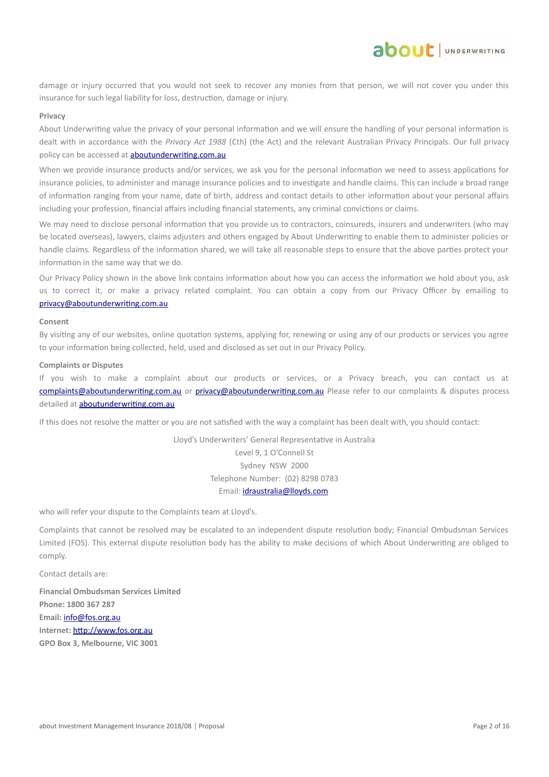damage or injury occurred that you would not seek to recover any monies from that person, we will not cover you under this insurance for such legal liability for loss, destruction, damage or injury.

about JUNDERWRITING

### **Privacy**

About Underwriting value the privacy of your personal information and we will ensure the handling of your personal information is dealt with in accordance with the *Privacy Act 1988* (Cth) (the Act) and the relevant Australian Privacy Principals. Our full privacy policy can be accessed at **aboutunderwriting.com.au** 

When we provide insurance products and/or services, we ask you for the personal information we need to assess applications for insurance policies, to administer and manage insurance policies and to investigate and handle claims. This can include a broad range of information ranging from your name, date of birth, address and contact details to other information about your personal affairs including your profession, financial affairs including financial statements, any criminal convictions or claims.

We may need to disclose personal information that you provide us to contractors, coinsureds, insurers and underwriters (who may be located overseas), lawyers, claims adjusters and others engaged by About Underwriting to enable them to administer policies or handle claims. Regardless of the information shared, we will take all reasonable steps to ensure that the above parties protect your information in the same way that we do.

Our Privacy Policy shown in the above link contains information about how you can access the information we hold about you, ask us to correct it, or make a privacy related complaint. You can obtain a copy from our Privacy Officer by emailing to [privacy@aboutunderwriting.com.au](mailto:privacy@aboutunderwriting.com.au)

#### **Consent**

By visiting any of our websites, online quotation systems, applying for, renewing or using any of our products or services you agree to your information being collected, held, used and disclosed as set out in our Privacy Policy.

### **Complaints or Disputes**

If you wish to make a complaint about our products or services, or a Privacy breach, you can contact us at [complaints@aboutunderwriting.com.au](mailto:complaints@aboutunderwriting.com.au) or [privacy@aboutunderwriting.com.au](mailto:privacy@aboutunderwriting.com.au) Please refer to our complaints & disputes process detailed at [aboutunderwriting.com.au](http://www.aboutunderwriting.com.au/)

If this does not resolve the matter or you are not satisfied with the way a complaint has been dealt with, you should contact:

Lloyd's Underwriters' General Representative in Australia Level 9, 1 O'Connell St Sydney NSW 2000 Telephone Number: (02) 8298 0783 Email: [idraustralia@lloyds.com](mailto:idraustralia@lloyds.com)

who will refer your dispute to the Complaints team at Lloyd's.

Complaints that cannot be resolved may be escalated to an independent dispute resolution body; Financial Ombudsman Services Limited (FOS). This external dispute resolution body has the ability to make decisions of which About Underwriting are obliged to comply.

Contact details are:

**Financial Ombudsman Services Limited Phone: 1800 367 287 Email:** [info@fos.org.au](mailto:info@fos.org.au) **Internet:** [http://www.fos.org.au](http://www.fos.org.au/) **GPO Box 3, Melbourne, VIC 3001**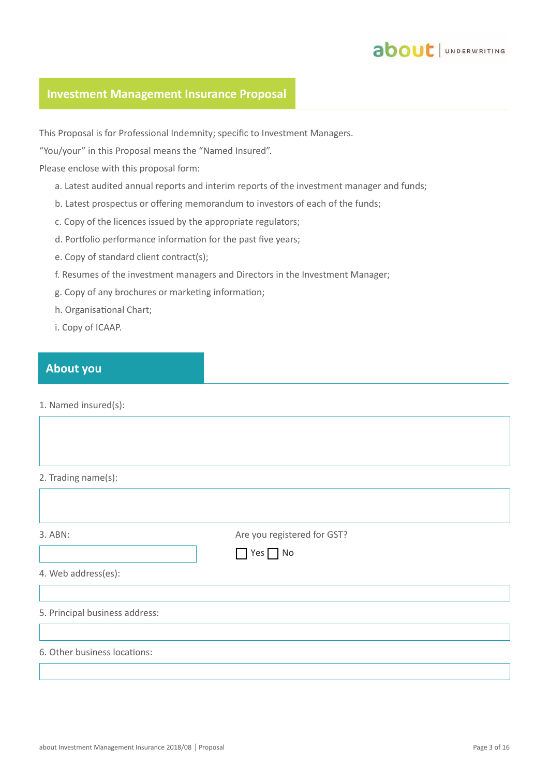

### **Investment Management Insurance Proposal**

This Proposal is for Professional Indemnity; specific to Investment Managers.

"You/your" in this Proposal means the "Named Insured".

Please enclose with this proposal form:

- a. Latest audited annual reports and interim reports of the investment manager and funds;
- b. Latest prospectus or offering memorandum to investors of each of the funds;
- c. Copy of the licences issued by the appropriate regulators;
- d. Portfolio performance information for the past five years;
- e. Copy of standard client contract(s);
- f. Resumes of the investment managers and Directors in the Investment Manager;
- g. Copy of any brochures or marketing information;
- h. Organisational Chart;
- i. Copy of ICAAP.

### **About you**

1. Named insured(s):

2. Trading name(s):

| 3. ABN:                        | Are you registered for GST? |  |
|--------------------------------|-----------------------------|--|
|                                | $Yes$ No                    |  |
| 4. Web address(es):            |                             |  |
|                                |                             |  |
| 5. Principal business address: |                             |  |
|                                |                             |  |
| 6. Other business locations:   |                             |  |
|                                |                             |  |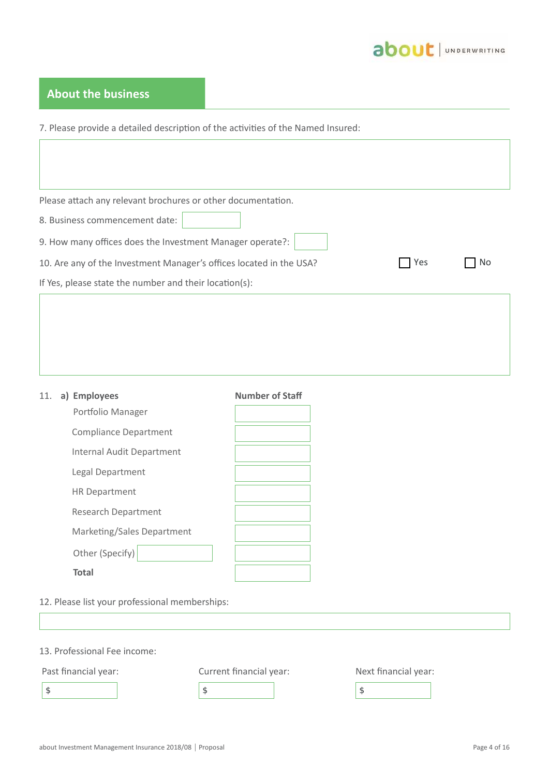

## **About the business**

7. Please provide a detailed description of the activities of the Named Insured:

| Please attach any relevant brochures or other documentation.        |     |     |
|---------------------------------------------------------------------|-----|-----|
| 8. Business commencement date:                                      |     |     |
| 9. How many offices does the Investment Manager operate?:           |     |     |
| 10. Are any of the Investment Manager's offices located in the USA? | Yes | No. |
| If Yes, please state the number and their location(s):              |     |     |
|                                                                     |     |     |
|                                                                     |     |     |
|                                                                     |     |     |
|                                                                     |     |     |

| 11. | a) Employees                 | <b>Number of Staff</b> |
|-----|------------------------------|------------------------|
|     | Portfolio Manager            |                        |
|     | <b>Compliance Department</b> |                        |
|     | Internal Audit Department    |                        |
|     | Legal Department             |                        |
|     | <b>HR Department</b>         |                        |
|     | <b>Research Department</b>   |                        |
|     | Marketing/Sales Department   |                        |
|     | Other (Specify)              |                        |
|     | <b>Total</b>                 |                        |



13. Professional Fee income:

Past financial year: Current financial year: Next financial year:

 $\frac{1}{3}$   $\frac{1}{3}$   $\frac{1}{3}$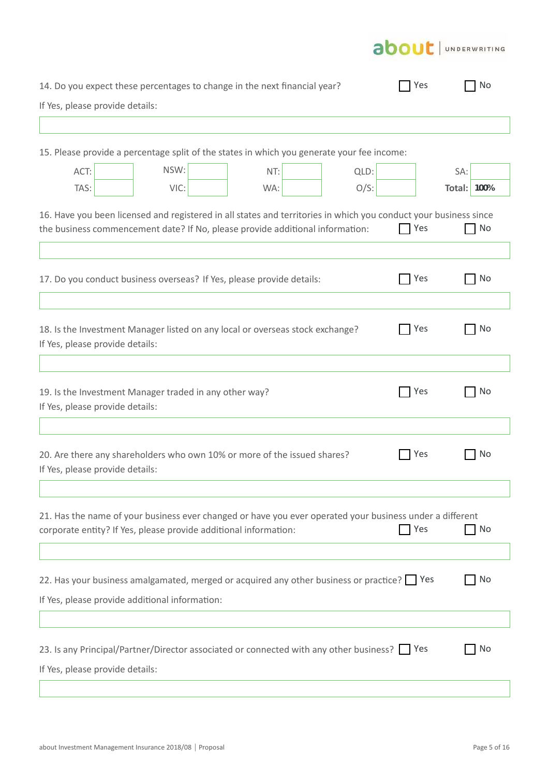

| 14. Do you expect these percentages to change in the next financial year?                                                                                                                         |      |     |         | Yes   | No                 |
|---------------------------------------------------------------------------------------------------------------------------------------------------------------------------------------------------|------|-----|---------|-------|--------------------|
| If Yes, please provide details:                                                                                                                                                                   |      |     |         |       |                    |
|                                                                                                                                                                                                   |      |     |         |       |                    |
| 15. Please provide a percentage split of the states in which you generate your fee income:                                                                                                        |      |     |         |       |                    |
| ACT:                                                                                                                                                                                              | NSW: | NT: | QLD:    |       | SA:                |
| TAS:                                                                                                                                                                                              | VIC: | WA: | $O/S$ : |       | <b>Total: 100%</b> |
| 16. Have you been licensed and registered in all states and territories in which you conduct your business since<br>the business commencement date? If No, please provide additional information: |      |     |         | Yes   | No                 |
|                                                                                                                                                                                                   |      |     |         |       |                    |
| 17. Do you conduct business overseas? If Yes, please provide details:                                                                                                                             |      |     |         | Yes   | No                 |
|                                                                                                                                                                                                   |      |     |         |       |                    |
| 18. Is the Investment Manager listed on any local or overseas stock exchange?<br>If Yes, please provide details:                                                                                  |      |     |         | T Yes | No                 |
|                                                                                                                                                                                                   |      |     |         |       |                    |
| 19. Is the Investment Manager traded in any other way?<br>If Yes, please provide details:                                                                                                         |      |     |         | Yes   | No                 |
|                                                                                                                                                                                                   |      |     |         |       |                    |
| 20. Are there any shareholders who own 10% or more of the issued shares?<br>If Yes, please provide details:                                                                                       |      |     |         | Yes   | No                 |
|                                                                                                                                                                                                   |      |     |         |       |                    |
| 21. Has the name of your business ever changed or have you ever operated your business under a different<br>corporate entity? If Yes, please provide additional information:                      |      |     |         | Yes   | No                 |
|                                                                                                                                                                                                   |      |     |         |       |                    |
| 22. Has your business amalgamated, merged or acquired any other business or practice? Pes                                                                                                         |      |     |         |       | No                 |
| If Yes, please provide additional information:                                                                                                                                                    |      |     |         |       |                    |
|                                                                                                                                                                                                   |      |     |         |       |                    |
| 23. Is any Principal/Partner/Director associated or connected with any other business?   Yes<br>If Yes, please provide details:                                                                   |      |     |         |       | No                 |
|                                                                                                                                                                                                   |      |     |         |       |                    |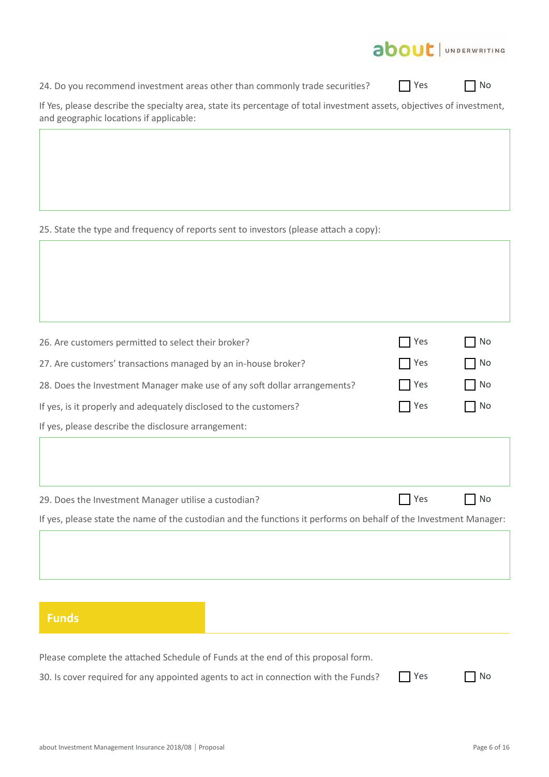

24. Do you recommend investment areas other than commonly trade securities?

No No

| If Yes, please describe the specialty area, state its percentage of total investment assets, objectives of investment, |  |  |  |
|------------------------------------------------------------------------------------------------------------------------|--|--|--|
| and geographic locations if applicable:                                                                                |  |  |  |

25. State the type and frequency of reports sent to investors (please attach a copy):

| If yes, please state the name of the custodian and the functions it performs on behalf of the Investment Manager: |       |    |
|-------------------------------------------------------------------------------------------------------------------|-------|----|
| 29. Does the Investment Manager utilise a custodian?                                                              | Yes   | No |
|                                                                                                                   |       |    |
| If yes, please describe the disclosure arrangement:                                                               |       |    |
| If yes, is it properly and adequately disclosed to the customers?                                                 | Yes   | No |
| 28. Does the Investment Manager make use of any soft dollar arrangements?                                         | l Yes | No |
| 27. Are customers' transactions managed by an in-house broker?                                                    | Yes   | No |
| 26. Are customers permitted to select their broker?                                                               | Yes   | No |
|                                                                                                                   |       |    |

| _<br>-<br>- |     |        | r. |  |
|-------------|-----|--------|----|--|
| -<br>=      |     |        |    |  |
| -           | - - | $\sim$ | -  |  |
|             |     |        |    |  |

Please complete the attached Schedule of Funds at the end of this proposal form. 30. Is cover required for any appointed agents to act in connection with the Funds? Yes Mo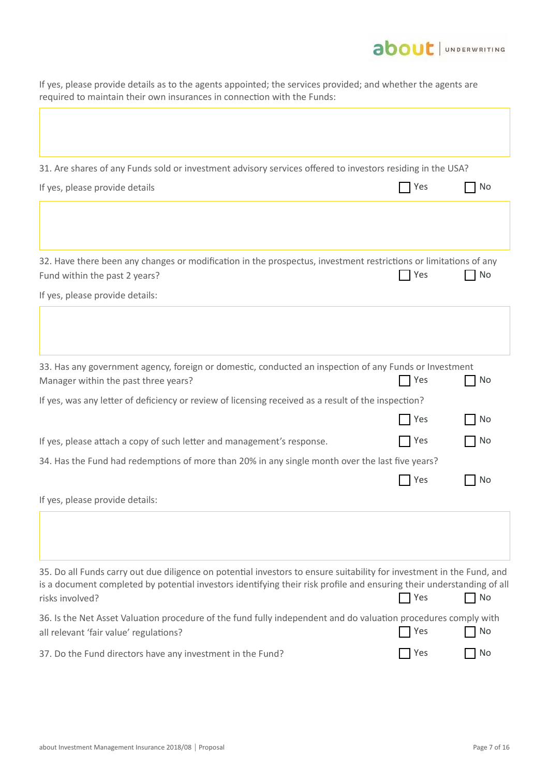

If yes, please provide details as to the agents appointed; the services provided; and whether the agents are required to maintain their own insurances in connection with the Funds:

|  | 31. Are shares of any Funds sold or investment advisory services offered to investors residing in the USA? |  |
|--|------------------------------------------------------------------------------------------------------------|--|
|--|------------------------------------------------------------------------------------------------------------|--|

| If yes, please provide details                                                                                                                    | T Yes | No        |
|---------------------------------------------------------------------------------------------------------------------------------------------------|-------|-----------|
|                                                                                                                                                   |       |           |
| 32. Have there been any changes or modification in the prospectus, investment restrictions or limitations of any<br>Fund within the past 2 years? | T Yes | No        |
| If yes, please provide details:                                                                                                                   |       |           |
|                                                                                                                                                   |       |           |
| 33. Has any government agency, foreign or domestic, conducted an inspection of any Funds or Investment<br>Manager within the past three years?    | Yes   | No        |
| If yes, was any letter of deficiency or review of licensing received as a result of the inspection?                                               |       |           |
|                                                                                                                                                   | Yes   | <b>No</b> |
| If yes, please attach a copy of such letter and management's response.                                                                            | Yes   | No        |
| 34. Has the Fund had redemptions of more than 20% in any single month over the last five years?                                                   |       |           |
|                                                                                                                                                   | T Yes | No        |
| If yes, please provide details:                                                                                                                   |       |           |
|                                                                                                                                                   |       |           |
|                                                                                                                                                   |       |           |
| 35. Do all Funds carry out due diligence on potential investors to ensure suitability for investment in the Fund, and                             |       |           |

| is a document completed by potential investors identifying their risk profile and ensuring their understanding of all<br>risks involved?                 | $\Box$ Yes       | $\Box$ No |
|----------------------------------------------------------------------------------------------------------------------------------------------------------|------------------|-----------|
| 36. Is the Net Asset Valuation procedure of the fund fully independent and do valuation procedures comply with<br>all relevant 'fair value' regulations? | $\Box$ Yes       | $\Box$ No |
| 37. Do the Fund directors have any investment in the Fund?                                                                                               | Yes <sup>1</sup> | $\Box$ No |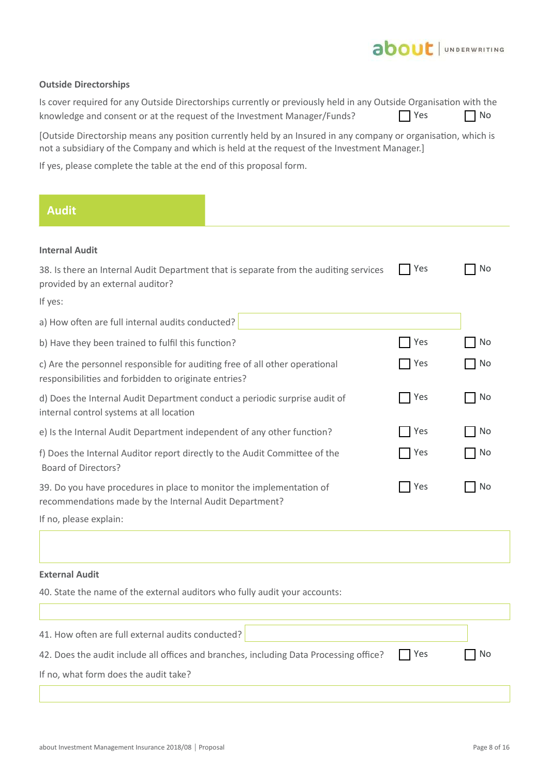

### **Outside Directorships**

| Is cover required for any Outside Directorships currently or previously held in any Outside Organisation with the |                 |           |
|-------------------------------------------------------------------------------------------------------------------|-----------------|-----------|
| knowledge and consent or at the request of the Investment Manager/Funds?                                          | <b>Paragona</b> | $\Box$ No |

[Outside Directorship means any position currently held by an Insured in any company or organisation, which is not a subsidiary of the Company and which is held at the request of the Investment Manager.]

If yes, please complete the table at the end of this proposal form.

| <b>Audit</b>                                                                                                                        |                                                                                       |     |           |
|-------------------------------------------------------------------------------------------------------------------------------------|---------------------------------------------------------------------------------------|-----|-----------|
| <b>Internal Audit</b>                                                                                                               |                                                                                       |     |           |
| provided by an external auditor?                                                                                                    | 38. Is there an Internal Audit Department that is separate from the auditing services | Yes | No        |
| If yes:                                                                                                                             |                                                                                       |     |           |
| a) How often are full internal audits conducted?                                                                                    |                                                                                       |     |           |
| b) Have they been trained to fulfil this function?                                                                                  |                                                                                       | Yes | No.       |
| c) Are the personnel responsible for auditing free of all other operational<br>responsibilities and forbidden to originate entries? |                                                                                       | Yes | No        |
| d) Does the Internal Audit Department conduct a periodic surprise audit of<br>internal control systems at all location              |                                                                                       | Yes | No        |
| e) Is the Internal Audit Department independent of any other function?                                                              |                                                                                       | Yes | <b>No</b> |
| f) Does the Internal Auditor report directly to the Audit Committee of the<br>Board of Directors?                                   |                                                                                       | Yes | <b>No</b> |
| 39. Do you have procedures in place to monitor the implementation of<br>recommendations made by the Internal Audit Department?      |                                                                                       | Yes | No        |
| If no, please explain:                                                                                                              |                                                                                       |     |           |
|                                                                                                                                     |                                                                                       |     |           |

### **External Audit**

Ï

40. State the name of the external auditors who fully audit your accounts:

| 41. How often are full external audits conducted?                                      |            |      |
|----------------------------------------------------------------------------------------|------------|------|
| 42. Does the audit include all offices and branches, including Data Processing office? | <b>Nes</b> | l No |
| If no, what form does the audit take?                                                  |            |      |
|                                                                                        |            |      |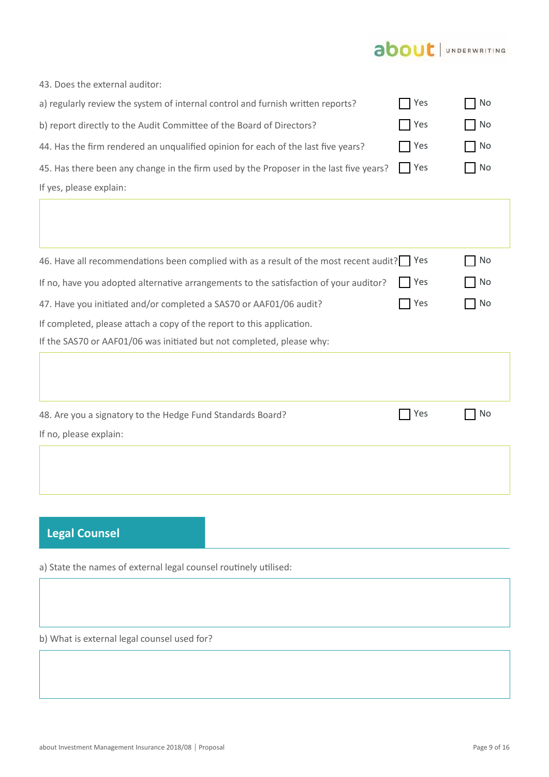# about | UNDERWRITING

| 43. Does the external auditor:                                                         |            |                   |
|----------------------------------------------------------------------------------------|------------|-------------------|
| a) regularly review the system of internal control and furnish written reports?        | Yes        | $\blacksquare$ No |
| b) report directly to the Audit Committee of the Board of Directors?                   | Yes        | $\blacksquare$ No |
| 44. Has the firm rendered an unqualified opinion for each of the last five years?      | $\Box$ Yes | $\bigcap$ No      |
| 45. Has there been any change in the firm used by the Proposer in the last five years? | I l Yes    | $\blacksquare$ No |
| If yes, please explain:                                                                |            |                   |
|                                                                                        |            |                   |

46. Have all recommendations been complied with as a result of the most recent audit? PYes If no, have you adopted alternative arrangements to the satisfaction of your auditor? 47. Have you initiated and/or completed a SAS70 or AAF01/06 audit? If completed, please attach a copy of the report to this application. If the SAS70 or AAF01/06 was initiated but not completed, please why:  $\Box$  No  $\Box$  Yes  $\Box$  No No Res No

| 48. Are you a signatory to the Hedge Fund Standards Board? | $\Box$ Yes | No T |
|------------------------------------------------------------|------------|------|
| If no, please explain:                                     |            |      |
|                                                            |            |      |
|                                                            |            |      |

## **Legal Counsel**

a) State the names of external legal counsel routinely utilised:

b) What is external legal counsel used for?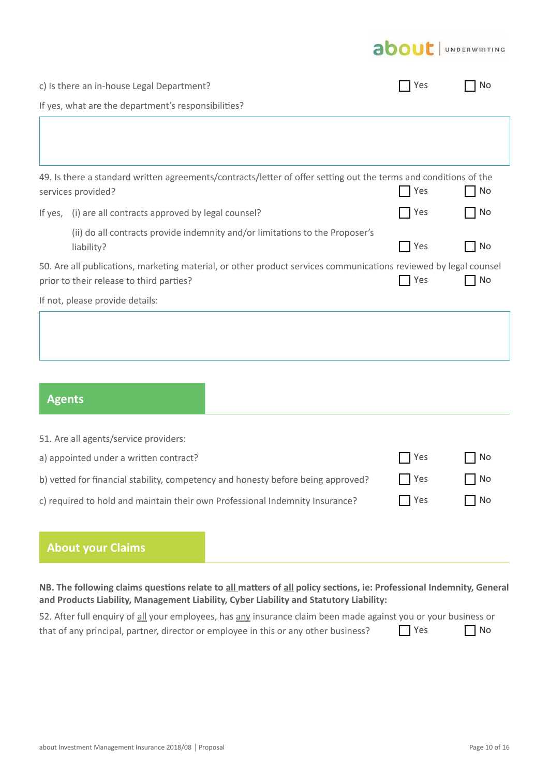# about | UNDERWRITING

|                                                                                                                                                                           | c) Is there an in-house Legal Department?                                                                                              | Yes | No  |  |  |
|---------------------------------------------------------------------------------------------------------------------------------------------------------------------------|----------------------------------------------------------------------------------------------------------------------------------------|-----|-----|--|--|
|                                                                                                                                                                           | If yes, what are the department's responsibilities?                                                                                    |     |     |  |  |
|                                                                                                                                                                           |                                                                                                                                        |     |     |  |  |
|                                                                                                                                                                           |                                                                                                                                        |     |     |  |  |
|                                                                                                                                                                           | 49. Is there a standard written agreements/contracts/letter of offer setting out the terms and conditions of the<br>services provided? | Yes | No  |  |  |
|                                                                                                                                                                           | If yes, (i) are all contracts approved by legal counsel?                                                                               | Yes | No. |  |  |
|                                                                                                                                                                           | (ii) do all contracts provide indemnity and/or limitations to the Proposer's<br>liability?                                             | Yes | No. |  |  |
| 50. Are all publications, marketing material, or other product services communications reviewed by legal counsel<br>Yes<br>No<br>prior to their release to third parties? |                                                                                                                                        |     |     |  |  |
|                                                                                                                                                                           | If not, please provide details:                                                                                                        |     |     |  |  |
|                                                                                                                                                                           |                                                                                                                                        |     |     |  |  |
|                                                                                                                                                                           |                                                                                                                                        |     |     |  |  |
|                                                                                                                                                                           |                                                                                                                                        |     |     |  |  |

## **Agents**

| 51. Are all agents/service providers:                                            |            |           |
|----------------------------------------------------------------------------------|------------|-----------|
| a) appointed under a written contract?                                           | Yes        | l No      |
| b) vetted for financial stability, competency and honesty before being approved? | $\Box$ Yes | $\Box$ No |
| c) required to hold and maintain their own Professional Indemnity Insurance?     | l Yes      | No        |

## **About your Claims**

**NB. The following claims questions relate to all matters of all policy sections, ie: Professional Indemnity, General and Products Liability, Management Liability, Cyber Liability and Statutory Liability:**

| 52. After full enquiry of all your employees, has any insurance claim been made against you or your business or |            |           |
|-----------------------------------------------------------------------------------------------------------------|------------|-----------|
| that of any principal, partner, director or employee in this or any other business?                             | <b>Nes</b> | $\Box$ No |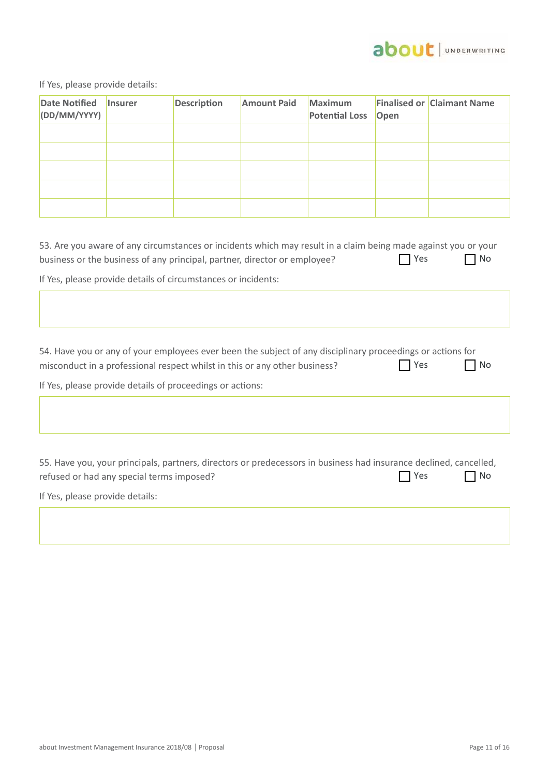

If Yes, please provide details:

| <b>Date Notified</b><br>(DD/MM/YYYY) | <b>Insurer</b> | <b>Description</b> | <b>Amount Paid</b> | <b>Maximum</b><br><b>Potential Loss</b> | Open | <b>Finalised or Claimant Name</b> |
|--------------------------------------|----------------|--------------------|--------------------|-----------------------------------------|------|-----------------------------------|
|                                      |                |                    |                    |                                         |      |                                   |
|                                      |                |                    |                    |                                         |      |                                   |
|                                      |                |                    |                    |                                         |      |                                   |
|                                      |                |                    |                    |                                         |      |                                   |
|                                      |                |                    |                    |                                         |      |                                   |

| 53. Are you aware of any circumstances or incidents which may result in a claim being made against you or your |     |      |  |  |  |  |  |  |  |
|----------------------------------------------------------------------------------------------------------------|-----|------|--|--|--|--|--|--|--|
| business or the business of any principal, partner, director or employee?                                      | Yes | No   |  |  |  |  |  |  |  |
| If Yes, please provide details of circumstances or incidents:                                                  |     |      |  |  |  |  |  |  |  |
|                                                                                                                |     |      |  |  |  |  |  |  |  |
|                                                                                                                |     |      |  |  |  |  |  |  |  |
|                                                                                                                |     |      |  |  |  |  |  |  |  |
| 54. Have you or any of your employees ever been the subject of any disciplinary proceedings or actions for     |     |      |  |  |  |  |  |  |  |
| misconduct in a professional respect whilst in this or any other business?                                     | Yes | l No |  |  |  |  |  |  |  |

If Yes, please provide details of proceedings or actions:

55. Have you, your principals, partners, directors or predecessors in business had insurance declined, cancelled, refused or had any special terms imposed?  $\bigcap$  Yes  $\bigcap$  No

If Yes, please provide details: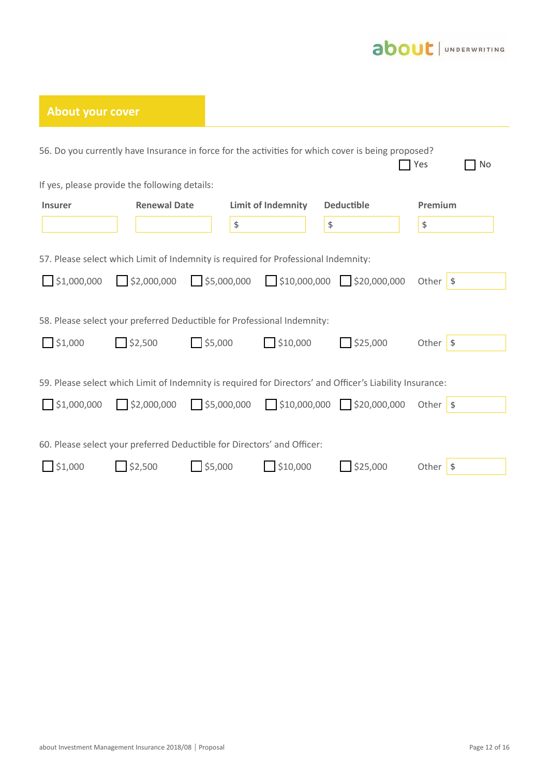

| <b>About your cover</b>                 |                                                                                                         |                                     |                           |                                                                                                                                         |                                      |
|-----------------------------------------|---------------------------------------------------------------------------------------------------------|-------------------------------------|---------------------------|-----------------------------------------------------------------------------------------------------------------------------------------|--------------------------------------|
|                                         |                                                                                                         |                                     |                           | 56. Do you currently have Insurance in force for the activities for which cover is being proposed?                                      | <b>No</b><br>Yes                     |
|                                         | If yes, please provide the following details:                                                           |                                     |                           |                                                                                                                                         |                                      |
| <b>Insurer</b>                          | <b>Renewal Date</b>                                                                                     |                                     | <b>Limit of Indemnity</b> | <b>Deductible</b>                                                                                                                       | Premium                              |
|                                         |                                                                                                         | \$                                  |                           | \$                                                                                                                                      | \$                                   |
| $\bigcap$ \$1,000,000<br>$\Box$ \$1,000 | $\Box$ \$2,000,000<br>58. Please select your preferred Deductible for Professional Indemnity:<br>32,500 | 55,000,000<br>$\frac{1}{2}$ \$5,000 | $\frac{1}{2}$ \$10,000    | $\frac{1}{2}$ \$10,000,000 $\frac{1}{2}$ \$20,000,000<br>$\frac{1}{2}$ \$25,000                                                         | Other $\sqrt{s}$<br>Other $\sqrt{s}$ |
| $\Box$ \$1,000,000                      | 52,000,000                                                                                              | 55,000,000                          |                           | 59. Please select which Limit of Indemnity is required for Directors' and Officer's Liability Insurance:<br>$$10,000,000$ $$20,000,000$ | Other $\sqrt{s}$                     |
|                                         | 60. Please select your preferred Deductible for Directors' and Officer:                                 |                                     |                           |                                                                                                                                         |                                      |
| \$1,000                                 | \$2,500                                                                                                 | \$5,000                             | \$10,000                  | \$25,000                                                                                                                                | Other $\sqrt{s}$                     |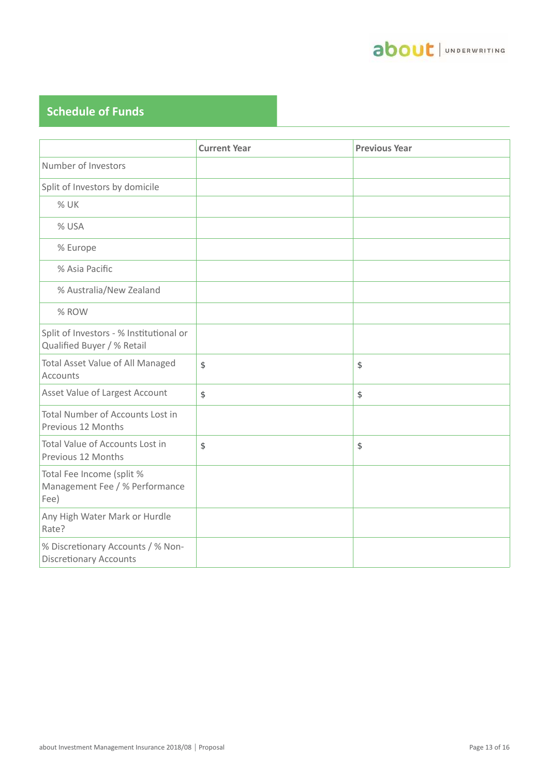

# **Schedule of Funds**

|                                                                       | <b>Current Year</b> | <b>Previous Year</b> |
|-----------------------------------------------------------------------|---------------------|----------------------|
| Number of Investors                                                   |                     |                      |
| Split of Investors by domicile                                        |                     |                      |
| % UK                                                                  |                     |                      |
| % USA                                                                 |                     |                      |
| % Europe                                                              |                     |                      |
| % Asia Pacific                                                        |                     |                      |
| % Australia/New Zealand                                               |                     |                      |
| % ROW                                                                 |                     |                      |
| Split of Investors - % Institutional or<br>Qualified Buyer / % Retail |                     |                      |
| Total Asset Value of All Managed<br>Accounts                          | \$                  | \$                   |
| Asset Value of Largest Account                                        | \$                  | \$                   |
| Total Number of Accounts Lost in<br>Previous 12 Months                |                     |                      |
| Total Value of Accounts Lost in<br>Previous 12 Months                 | \$                  | \$                   |
| Total Fee Income (split %<br>Management Fee / % Performance<br>Fee)   |                     |                      |
| Any High Water Mark or Hurdle<br>Rate?                                |                     |                      |
| % Discretionary Accounts / % Non-<br><b>Discretionary Accounts</b>    |                     |                      |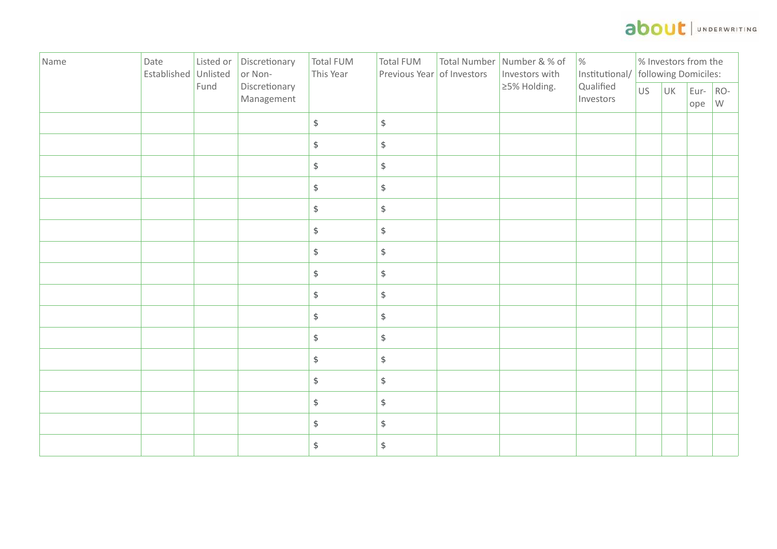# about | UNDERWRITING

| Name | Date<br>Established Unlisted | Listed or | Discretionary<br>or Non-    | Total FUM<br>This Year | <b>Total FUM</b><br>Previous Year of Investors | Total Number Number & % of<br>Investors with | $\%$<br>Institutional/ | % Investors from the<br>following Domiciles: |    |                   |   |
|------|------------------------------|-----------|-----------------------------|------------------------|------------------------------------------------|----------------------------------------------|------------------------|----------------------------------------------|----|-------------------|---|
|      |                              | Fund      | Discretionary<br>Management |                        |                                                | ≥5% Holding.                                 | Qualified<br>Investors | US                                           | UK | Eur- $RO-$<br>ope | W |
|      |                              |           |                             | $\frac{1}{2}$          | $\,$                                           |                                              |                        |                                              |    |                   |   |
|      |                              |           |                             | $\mathsf{\$}$          | $\,$                                           |                                              |                        |                                              |    |                   |   |
|      |                              |           |                             | $$\mathbb{S}$$         | $\,$                                           |                                              |                        |                                              |    |                   |   |
|      |                              |           |                             | $$\mathbb{S}$$         | $\$$                                           |                                              |                        |                                              |    |                   |   |
|      |                              |           |                             | $$\mathbb{S}$$         | $\$$                                           |                                              |                        |                                              |    |                   |   |
|      |                              |           |                             | $$\mathbb{S}$$         | $\$$                                           |                                              |                        |                                              |    |                   |   |
|      |                              |           |                             | $$\mathbb{S}$$         | $\$$                                           |                                              |                        |                                              |    |                   |   |
|      |                              |           |                             | $$\mathbb{S}$$         | $\$$                                           |                                              |                        |                                              |    |                   |   |
|      |                              |           |                             | $$\mathbb{S}$$         | $\$$                                           |                                              |                        |                                              |    |                   |   |
|      |                              |           |                             | $$\mathbb{S}$$         | $\,$                                           |                                              |                        |                                              |    |                   |   |
|      |                              |           |                             | $$\mathbb{S}$$         | $\,$                                           |                                              |                        |                                              |    |                   |   |
|      |                              |           |                             | $$\mathbb{S}$$         | $\,$                                           |                                              |                        |                                              |    |                   |   |
|      |                              |           |                             | $\sqrt[6]{}$           | $\$\,$                                         |                                              |                        |                                              |    |                   |   |
|      |                              |           |                             | $\mathsf{\$}$          | $\$\,$                                         |                                              |                        |                                              |    |                   |   |
|      |                              |           |                             | $\sqrt[6]{}$           | $\,$                                           |                                              |                        |                                              |    |                   |   |
|      |                              |           |                             | $\,$                   | $\$$                                           |                                              |                        |                                              |    |                   |   |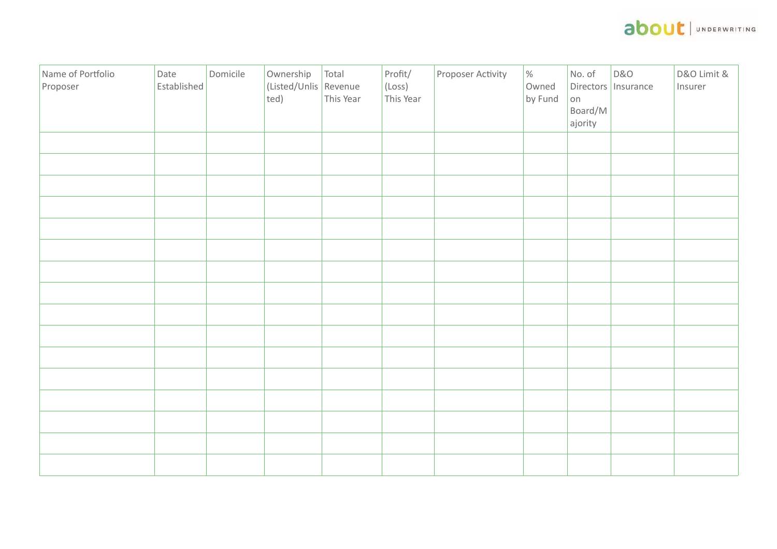

| Name of Portfolio<br>Proposer | Date<br>Established | Domicile | Ownership<br>(Listed/Unlis Revenue<br>ted) | Total<br>This Year | Profit/<br>$(\text{Loss})$<br>This Year | Proposer Activity | $\%$<br>Owned<br>by Fund | No. of<br>on<br>Board/M<br>ajority | <b>D&amp;O</b><br>Directors   Insurance | D&O Limit &<br>Insurer |
|-------------------------------|---------------------|----------|--------------------------------------------|--------------------|-----------------------------------------|-------------------|--------------------------|------------------------------------|-----------------------------------------|------------------------|
|                               |                     |          |                                            |                    |                                         |                   |                          |                                    |                                         |                        |
|                               |                     |          |                                            |                    |                                         |                   |                          |                                    |                                         |                        |
|                               |                     |          |                                            |                    |                                         |                   |                          |                                    |                                         |                        |
|                               |                     |          |                                            |                    |                                         |                   |                          |                                    |                                         |                        |
|                               |                     |          |                                            |                    |                                         |                   |                          |                                    |                                         |                        |
|                               |                     |          |                                            |                    |                                         |                   |                          |                                    |                                         |                        |
|                               |                     |          |                                            |                    |                                         |                   |                          |                                    |                                         |                        |
|                               |                     |          |                                            |                    |                                         |                   |                          |                                    |                                         |                        |
|                               |                     |          |                                            |                    |                                         |                   |                          |                                    |                                         |                        |
|                               |                     |          |                                            |                    |                                         |                   |                          |                                    |                                         |                        |
|                               |                     |          |                                            |                    |                                         |                   |                          |                                    |                                         |                        |
|                               |                     |          |                                            |                    |                                         |                   |                          |                                    |                                         |                        |
|                               |                     |          |                                            |                    |                                         |                   |                          |                                    |                                         |                        |
|                               |                     |          |                                            |                    |                                         |                   |                          |                                    |                                         |                        |
|                               |                     |          |                                            |                    |                                         |                   |                          |                                    |                                         |                        |
|                               |                     |          |                                            |                    |                                         |                   |                          |                                    |                                         |                        |